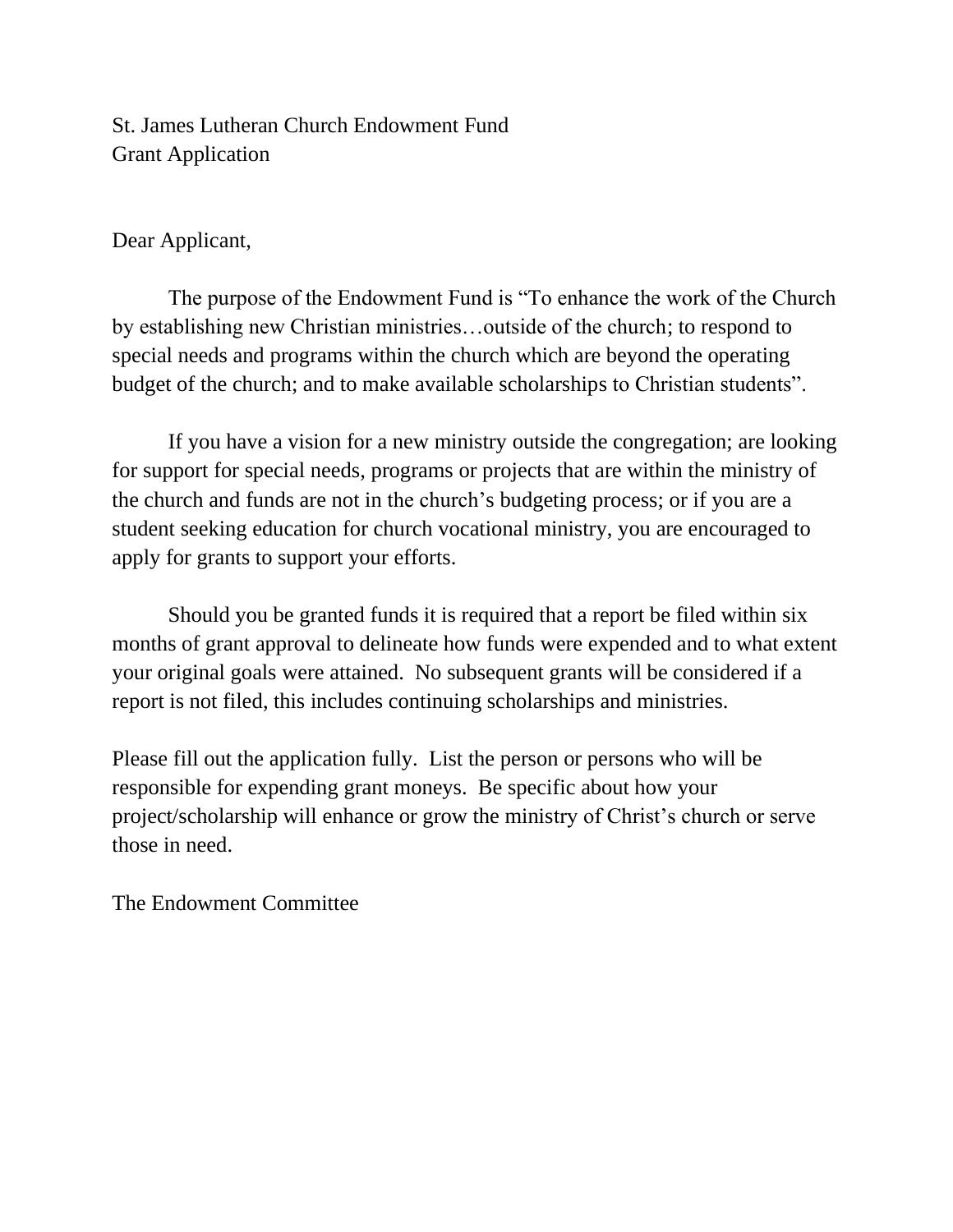St. James Lutheran Church Endowment Fund Grant Application

## Dear Applicant,

The purpose of the Endowment Fund is "To enhance the work of the Church by establishing new Christian ministries…outside of the church; to respond to special needs and programs within the church which are beyond the operating budget of the church; and to make available scholarships to Christian students".

If you have a vision for a new ministry outside the congregation; are looking for support for special needs, programs or projects that are within the ministry of the church and funds are not in the church's budgeting process; or if you are a student seeking education for church vocational ministry, you are encouraged to apply for grants to support your efforts.

Should you be granted funds it is required that a report be filed within six months of grant approval to delineate how funds were expended and to what extent your original goals were attained. No subsequent grants will be considered if a report is not filed, this includes continuing scholarships and ministries.

Please fill out the application fully. List the person or persons who will be responsible for expending grant moneys. Be specific about how your project/scholarship will enhance or grow the ministry of Christ's church or serve those in need.

The Endowment Committee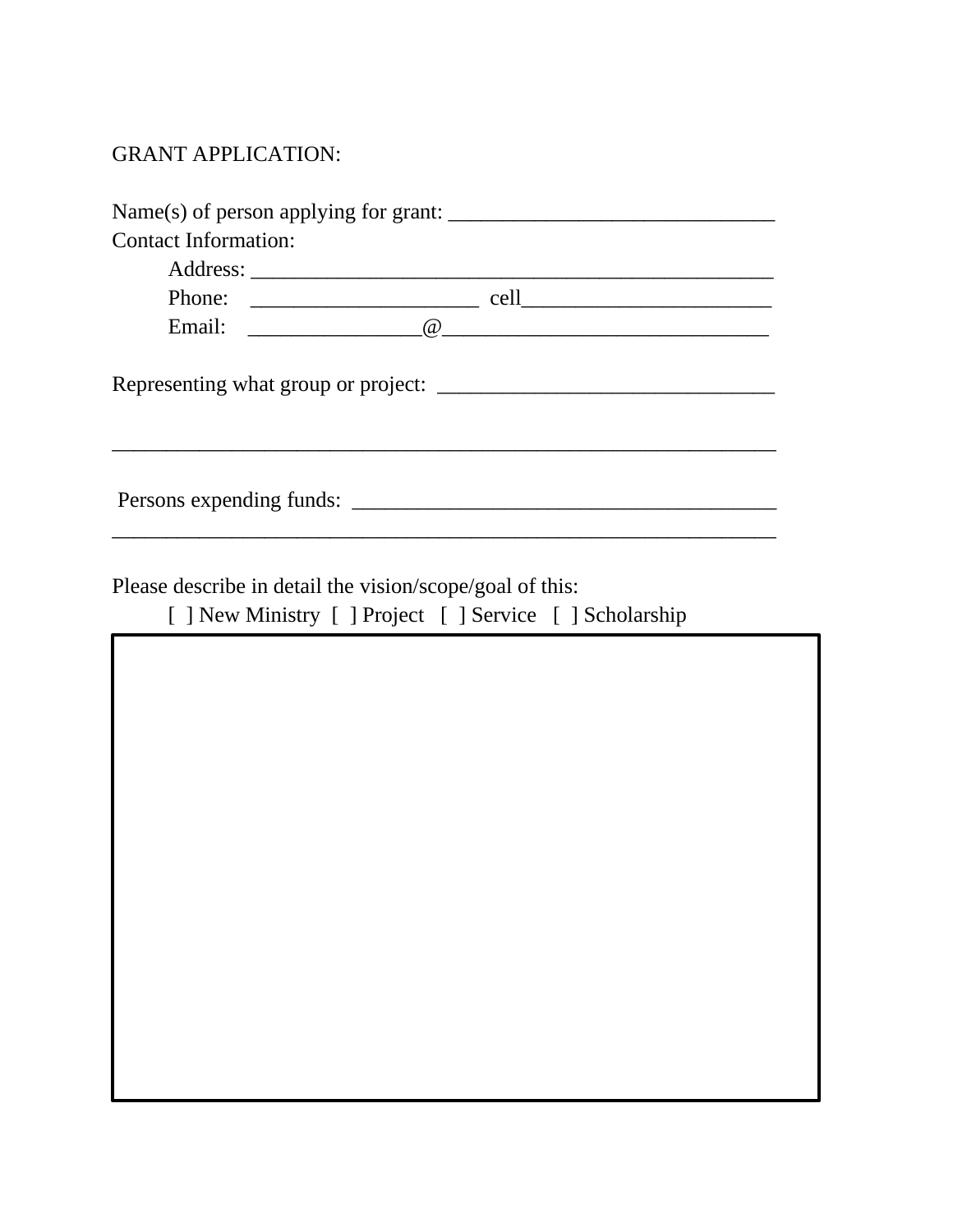## GRANT APPLICATION:

| <b>Contact Information:</b> | Name(s) of person applying for grant: $\frac{1}{\sqrt{1-\frac{1}{\sqrt{1-\frac{1}{\sqrt{1-\frac{1}{\sqrt{1-\frac{1}{\sqrt{1-\frac{1}{\sqrt{1-\frac{1}{\sqrt{1-\frac{1}{\sqrt{1-\frac{1}{\sqrt{1-\frac{1}{\sqrt{1-\frac{1}{\sqrt{1-\frac{1}{\sqrt{1-\frac{1}{\sqrt{1-\frac{1}{\sqrt{1-\frac{1}{\sqrt{1-\frac{1}{\sqrt{1-\frac{1}{\sqrt{1-\frac{1}{\sqrt{1-\frac{1}{\sqrt{1-\frac{1}{\sqrt{1-\frac$ |  |
|-----------------------------|---------------------------------------------------------------------------------------------------------------------------------------------------------------------------------------------------------------------------------------------------------------------------------------------------------------------------------------------------------------------------------------------------|--|
|                             |                                                                                                                                                                                                                                                                                                                                                                                                   |  |
|                             |                                                                                                                                                                                                                                                                                                                                                                                                   |  |
|                             |                                                                                                                                                                                                                                                                                                                                                                                                   |  |
|                             |                                                                                                                                                                                                                                                                                                                                                                                                   |  |
|                             |                                                                                                                                                                                                                                                                                                                                                                                                   |  |
|                             | Please describe in detail the vision/scope/goal of this:<br>[ ] New Ministry [ ] Project [ ] Service [ ] Scholarship                                                                                                                                                                                                                                                                              |  |
|                             |                                                                                                                                                                                                                                                                                                                                                                                                   |  |
|                             |                                                                                                                                                                                                                                                                                                                                                                                                   |  |
|                             |                                                                                                                                                                                                                                                                                                                                                                                                   |  |
|                             |                                                                                                                                                                                                                                                                                                                                                                                                   |  |
|                             |                                                                                                                                                                                                                                                                                                                                                                                                   |  |
|                             |                                                                                                                                                                                                                                                                                                                                                                                                   |  |
|                             |                                                                                                                                                                                                                                                                                                                                                                                                   |  |
|                             |                                                                                                                                                                                                                                                                                                                                                                                                   |  |
|                             |                                                                                                                                                                                                                                                                                                                                                                                                   |  |
|                             |                                                                                                                                                                                                                                                                                                                                                                                                   |  |
|                             |                                                                                                                                                                                                                                                                                                                                                                                                   |  |